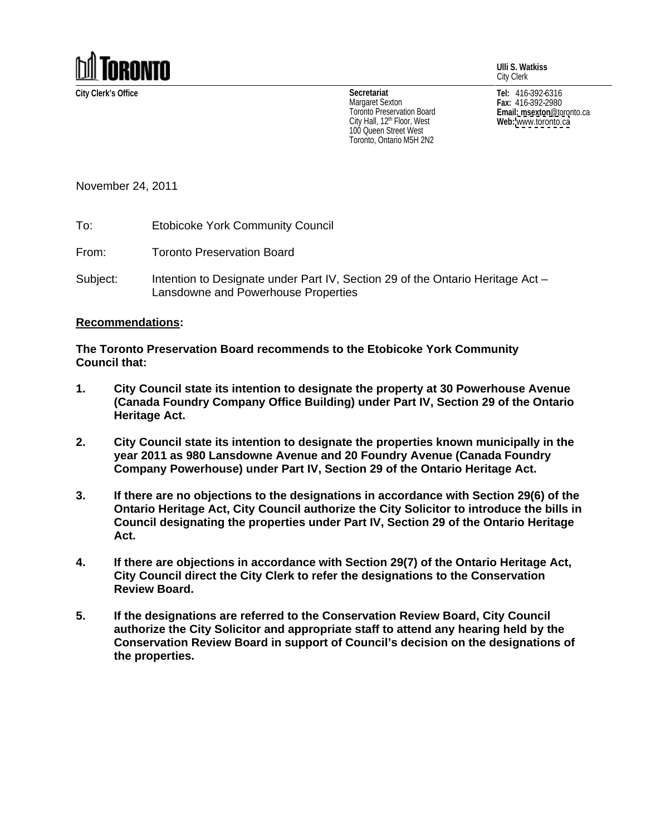

**Ulli S. Watkiss** City Clerk

City Hall, 12<sup>th</sup> Floor, West **Web:** www.toronto.ca 100 Queen Street West Toronto, Ontario M5H 2N2

**City Clerk's Office Tel:** 416-392-6316 **Fax:** 416-392-2980 **Email: msexton**@toronto.ca **Web:** [www.toronto.ca](http://www.toronto.ca) **Secretariat** Margaret Sexton  $_{max:416-392-2980}$ I oronto Preservation Board **Example 2018 Email: msexton** @toronto.ca

November 24, 2011

To: Etobicoke York Community Council

From: Toronto Preservation Board

Subject: Intention to Designate under Part IV, Section 29 of the Ontario Heritage Act – Lansdowne and Powerhouse Properties

## **Recommendations:**

**The Toronto Preservation Board recommends to the Etobicoke York Community Council that:**

- **1. City Council state its intention to designate the property at 30 Powerhouse Avenue (Canada Foundry Company Office Building) under Part IV, Section 29 of the Ontario Heritage Act.**
- **2. City Council state its intention to designate the properties known municipally in the year 2011 as 980 Lansdowne Avenue and 20 Foundry Avenue (Canada Foundry Company Powerhouse) under Part IV, Section 29 of the Ontario Heritage Act.**
- **3. If there are no objections to the designations in accordance with Section 29(6) of the Ontario Heritage Act, City Council authorize the City Solicitor to introduce the bills in Council designating the properties under Part IV, Section 29 of the Ontario Heritage Act.**
- **4. If there are objections in accordance with Section 29(7) of the Ontario Heritage Act, City Council direct the City Clerk to refer the designations to the Conservation Review Board.**
- **5. If the designations are referred to the Conservation Review Board, City Council authorize the City Solicitor and appropriate staff to attend any hearing held by the Conservation Review Board in support of Council's decision on the designations of the properties.**